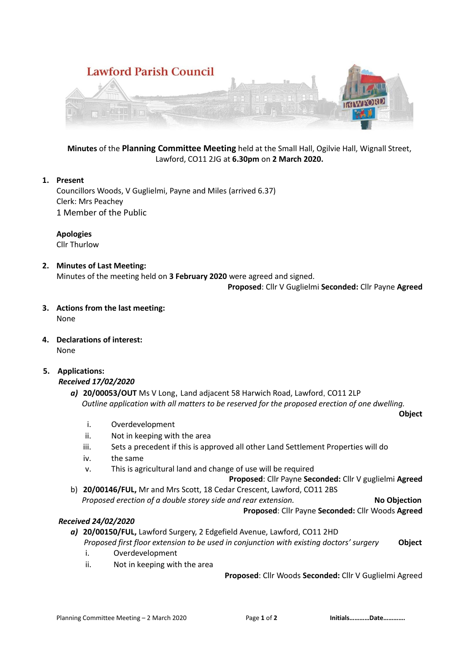

**Minutes** of the **Planning Committee Meeting** held at the Small Hall, Ogilvie Hall, Wignall Street, Lawford, CO11 2JG at **6.30pm** on **2 March 2020.**

# **1. Present**

Councillors Woods, V Guglielmi, Payne and Miles (arrived 6.37) Clerk: Mrs Peachey 1 Member of the Public

**Apologies** Cllr Thurlow

**2. Minutes of Last Meeting:** Minutes of the meeting held on **3 February 2020** were agreed and signed.

 **Proposed**: Cllr V Guglielmi **Seconded:** Cllr Payne **Agreed**

- **3. Actions from the last meeting:** None
- **4. Declarations of interest:** None
- **5. Applications:**

*Received 17/02/2020*

*a)* **20/00053/OUT** Ms V Long, Land adjacent 58 Harwich Road, Lawford, CO11 2LP  *Outline application with all matters to be reserved for the proposed erection of one dwelling.*

**Object**

- i. Overdevelopment
- ii. Not in keeping with the area
- iii. Sets a precedent if this is approved all other Land Settlement Properties will do
- iv. the same
- v. This is agricultural land and change of use will be required
	- **Proposed**: Cllr Payne **Seconded:** Cllr V guglielmi **Agreed**
- b) **20/00146/FUL,** Mr and Mrs Scott, 18 Cedar Crescent, Lawford, CO11 2BS  *Proposed erection of a double storey side and rear extension.* **No Objection**

**Proposed**: Cllr Payne **Seconded:** Cllr Woods **Agreed**

# *Received 24/02/2020*

*a)* **20/00150/FUL,** Lawford Surgery, 2 Edgefield Avenue, Lawford, CO11 2HD  *Proposed first floor extension to be used in conjunction with existing doctors' surgery* **Object**

- i. Overdevelopment
- ii. Not in keeping with the area

**Proposed**: Cllr Woods **Seconded:** Cllr V Guglielmi Agreed